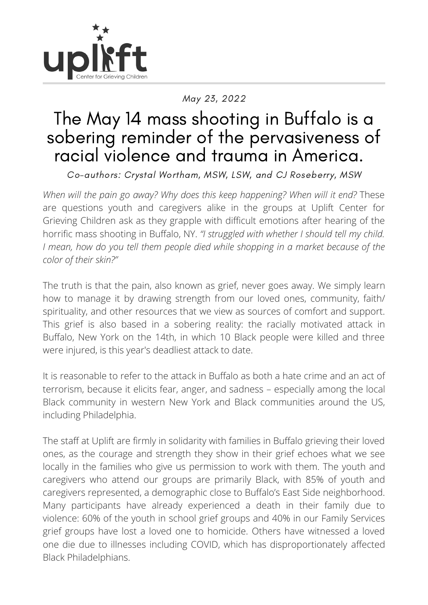

May 23, 2022

## The May 14 mass shooting in Buffalo is a sobering reminder of the pervasiveness of racial violence and trauma in America.

Co-authors: Crystal Wortham, MSW, LSW, and CJ Roseberry, MSW

*When will the pain go away? Why does this keep happening? When will it end?* These are questions youth and caregivers alike in the groups at Uplift Center for Grieving Children ask as they grapple with difficult emotions after hearing of the horrific mass shooting in Buffalo, NY. *"I struggled with whether I should tell my child. I mean, how do you tell them people died while shopping in a market because of the color of their skin?"*

The truth is that the pain, also known as grief, never goes away. We simply learn how to manage it by drawing strength from our loved ones, community, faith/ spirituality, and other resources that we view as sources of comfort and support. This grief is also based in a sobering reality: the racially motivated attack in Buffalo, New York on the 14th, in which 10 Black people were killed and three were injured, is this year's deadliest attack to date.

It is reasonable to refer to the attack in Buffalo as both a hate crime and an act of terrorism, because it elicits fear, anger, and sadness – especially among the local Black community in western New York and Black communities around the US, including Philadelphia.

The staff at Uplift are firmly in solidarity with families in Buffalo grieving their loved ones, as the courage and strength they show in their grief echoes what we see locally in the families who give us permission to work with them. The youth and caregivers who attend our groups are primarily Black, with 85% of youth and caregivers represented, a demographic close to Buffalo's East Side neighborhood. Many participants have already experienced a death in their family due to violence: 60% of the youth in school grief groups and 40% in our Family Services grief groups have lost a loved one to homicide. Others have witnessed a loved one die due to illnesses including COVID, which has [disproportionately](https://whyy.org/articles/african-americans-lead-coronavirus-deaths-in-philadelphia/) affected Black Philadelphians.